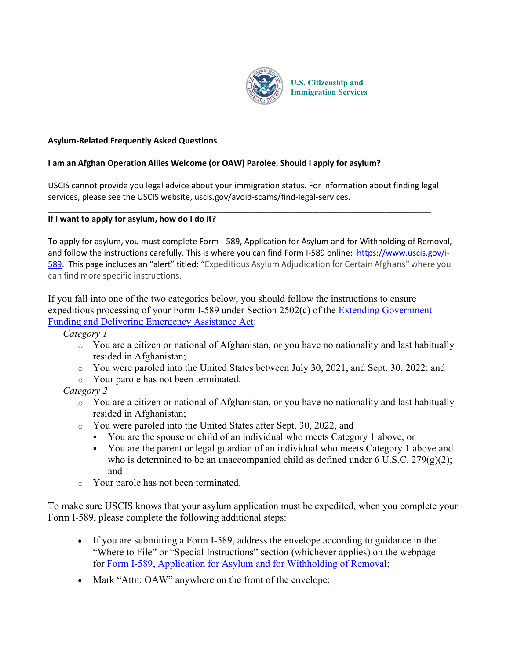

**U.S. Citizenship and Immigration Services**

## **Asylum-Related Frequently Asked Questions**

## **I am an Afghan Operation Allies Welcome (or OAW) Parolee. Should I apply for asylum?**

USCIS cannot provide you legal advice about your immigration status. For information about finding legal services, please see the USCIS website, uscis.gov/avoid-scams/find-legal-services.

\_\_\_\_\_\_\_\_\_\_\_\_\_\_\_\_\_\_\_\_\_\_\_\_\_\_\_\_\_\_\_\_\_\_\_\_\_\_\_\_\_\_\_\_\_\_\_\_\_\_\_\_\_\_\_\_\_\_\_\_\_\_\_\_\_\_\_\_\_\_\_\_\_\_\_\_\_\_\_\_\_\_\_\_

## **If I want to apply for asylum, how do I do it?**

To apply for asylum, you must complete Form I-589, Application for Asylum and for Withholding of Removal, and follow the instructions carefully. This is where you can find Form I-589 online: [https://www.uscis.gov/i-](https://www.uscis.gov/i-589)[589.](https://www.uscis.gov/i-589) This page includes an "alert" titled: "Expeditious Asylum Adjudication for Certain Afghans" where you can find more specific instructions.

If you fall into one of the two categories below, you should follow the instructions to ensure expeditious processing of your Form I-589 under Section 2502(c) of the [Extending Government](https://www.congress.gov/117/plaws/publ43/PLAW-117publ43.pdf)  [Funding and Delivering Emergency Assistance Act:](https://www.congress.gov/117/plaws/publ43/PLAW-117publ43.pdf)

*Category 1*

- $\circ$  You are a citizen or national of Afghanistan, or you have no nationality and last habitually resided in Afghanistan;
- o You were paroled into the United States between July 30, 2021, and Sept. 30, 2022; and
- o Your parole has not been terminated.

# *Category 2*

- o You are a citizen or national of Afghanistan, or you have no nationality and last habitually resided in Afghanistan;
- o You were paroled into the United States after Sept. 30, 2022, and
	- You are the spouse or child of an individual who meets Category 1 above, or
	- You are the parent or legal guardian of an individual who meets Category 1 above and who is determined to be an unaccompanied child as defined under 6 U.S.C. 279 $(g)(2)$ ; and
- o Your parole has not been terminated.

To make sure USCIS knows that your asylum application must be expedited, when you complete your Form I-589, please complete the following additional steps:

- If you are submitting a Form I-589, address the envelope according to guidance in the "Where to File" or "Special Instructions" section (whichever applies) on the webpage for [Form I-589, Application for Asylum and for Withholding of Removal;](https://www.uscis.gov/i-589)
- Mark "Attn: OAW" anywhere on the front of the envelope;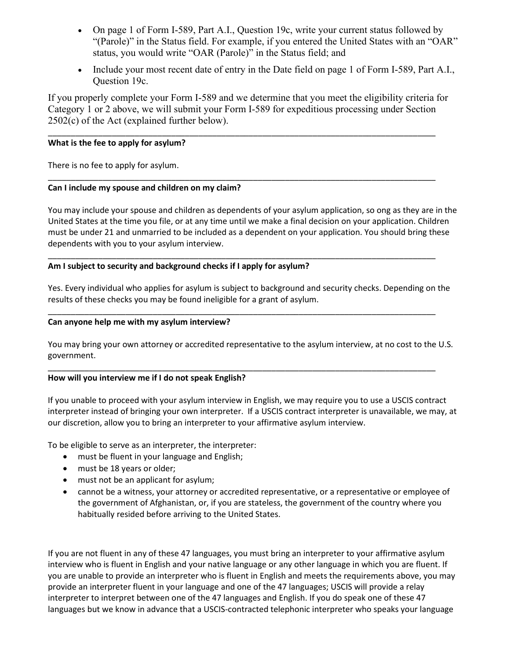- On page 1 of Form I-589, Part A.I., Question 19c, write your current status followed by "(Parole)" in the Status field. For example, if you entered the United States with an "OAR" status, you would write "OAR (Parole)" in the Status field; and
- Include your most recent date of entry in the Date field on page 1 of Form I-589, Part A.I., Question 19c.

If you properly complete your Form I-589 and we determine that you meet the eligibility criteria for Category 1 or 2 above, we will submit your Form I-589 for expeditious processing under Section 2502(c) of the Act (explained further below).

\_\_\_\_\_\_\_\_\_\_\_\_\_\_\_\_\_\_\_\_\_\_\_\_\_\_\_\_\_\_\_\_\_\_\_\_\_\_\_\_\_\_\_\_\_\_\_\_\_\_\_\_\_\_\_\_\_\_\_\_\_\_\_\_\_\_\_\_\_\_\_\_\_\_\_\_\_\_\_\_\_\_\_\_\_

\_\_\_\_\_\_\_\_\_\_\_\_\_\_\_\_\_\_\_\_\_\_\_\_\_\_\_\_\_\_\_\_\_\_\_\_\_\_\_\_\_\_\_\_\_\_\_\_\_\_\_\_\_\_\_\_\_\_\_\_\_\_\_\_\_\_\_\_\_\_\_\_\_\_\_\_\_\_\_\_\_\_\_\_\_

\_\_\_\_\_\_\_\_\_\_\_\_\_\_\_\_\_\_\_\_\_\_\_\_\_\_\_\_\_\_\_\_\_\_\_\_\_\_\_\_\_\_\_\_\_\_\_\_\_\_\_\_\_\_\_\_\_\_\_\_\_\_\_\_\_\_\_\_\_\_\_\_\_\_\_\_\_\_\_\_\_\_\_\_\_

\_\_\_\_\_\_\_\_\_\_\_\_\_\_\_\_\_\_\_\_\_\_\_\_\_\_\_\_\_\_\_\_\_\_\_\_\_\_\_\_\_\_\_\_\_\_\_\_\_\_\_\_\_\_\_\_\_\_\_\_\_\_\_\_\_\_\_\_\_\_\_\_\_\_\_\_\_\_\_\_\_\_\_\_\_

\_\_\_\_\_\_\_\_\_\_\_\_\_\_\_\_\_\_\_\_\_\_\_\_\_\_\_\_\_\_\_\_\_\_\_\_\_\_\_\_\_\_\_\_\_\_\_\_\_\_\_\_\_\_\_\_\_\_\_\_\_\_\_\_\_\_\_\_\_\_\_\_\_\_\_\_\_\_\_\_\_\_\_\_\_

#### **What is the fee to apply for asylum?**

There is no fee to apply for asylum.

## **Can I include my spouse and children on my claim?**

You may include your spouse and children as dependents of your asylum application, so ong as they are in the United States at the time you file, or at any time until we make a final decision on your application. Children must be under 21 and unmarried to be included as a dependent on your application. You should bring these dependents with you to your asylum interview.

## **Am I subject to security and background checks if I apply for asylum?**

Yes. Every individual who applies for asylum is subject to background and security checks. Depending on the results of these checks you may be found ineligible for a grant of asylum.

#### **Can anyone help me with my asylum interview?**

You may bring your own attorney or accredited representative to the asylum interview, at no cost to the U.S. government.

## **How will you interview me if I do not speak English?**

If you unable to proceed with your asylum interview in English, we may require you to use a USCIS contract interpreter instead of bringing your own interpreter. If a USCIS contract interpreter is unavailable, we may, at our discretion, allow you to bring an interpreter to your affirmative asylum interview.

To be eligible to serve as an interpreter, the interpreter:

- must be fluent in your language and English;
- must be 18 years or older;
- must not be an applicant for asylum;
- cannot be a witness, your attorney or accredited representative, or a representative or employee of the government of Afghanistan, or, if you are stateless, the government of the country where you habitually resided before arriving to the United States.

If you are not fluent in any of these 47 languages, you must bring an interpreter to your affirmative asylum interview who is fluent in English and your native language or any other language in which you are fluent. If you are unable to provide an interpreter who is fluent in English and meets the requirements above, you may provide an interpreter fluent in your language and one of the 47 languages; USCIS will provide a relay interpreter to interpret between one of the 47 languages and English. If you do speak one of these 47 languages but we know in advance that a USCIS-contracted telephonic interpreter who speaks your language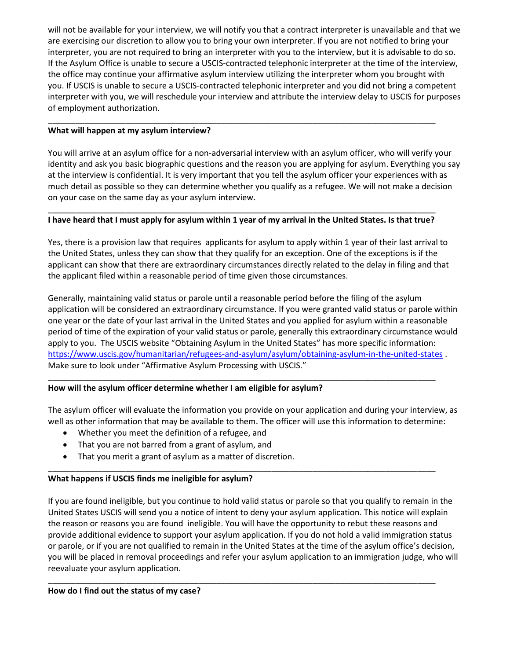will not be available for your interview, we will notify you that a contract interpreter is unavailable and that we are exercising our discretion to allow you to bring your own interpreter. If you are not notified to bring your interpreter, you are not required to bring an interpreter with you to the interview, but it is advisable to do so. If the Asylum Office is unable to secure a USCIS-contracted telephonic interpreter at the time of the interview, the office may continue your affirmative asylum interview utilizing the interpreter whom you brought with you. If USCIS is unable to secure a USCIS-contracted telephonic interpreter and you did not bring a competent interpreter with you, we will reschedule your interview and attribute the interview delay to USCIS for purposes of employment authorization.

## **What will happen at my asylum interview?**

You will arrive at an asylum office for a non-adversarial interview with an asylum officer, who will verify your identity and ask you basic biographic questions and the reason you are applying for asylum. Everything you say at the interview is confidential. It is very important that you tell the asylum officer your experiences with as much detail as possible so they can determine whether you qualify as a refugee. We will not make a decision on your case on the same day as your asylum interview.

## \_\_\_\_\_\_\_\_\_\_\_\_\_\_\_\_\_\_\_\_\_\_\_\_\_\_\_\_\_\_\_\_\_\_\_\_\_\_\_\_\_\_\_\_\_\_\_\_\_\_\_\_\_\_\_\_\_\_\_\_\_\_\_\_\_\_\_\_\_\_\_\_\_\_\_\_\_\_\_\_\_\_\_\_\_ **I have heard that I must apply for asylum within 1 year of my arrival in the United States. Is that true?**

\_\_\_\_\_\_\_\_\_\_\_\_\_\_\_\_\_\_\_\_\_\_\_\_\_\_\_\_\_\_\_\_\_\_\_\_\_\_\_\_\_\_\_\_\_\_\_\_\_\_\_\_\_\_\_\_\_\_\_\_\_\_\_\_\_\_\_\_\_\_\_\_\_\_\_\_\_\_\_\_\_\_\_\_\_

Yes, there is a provision law that requires applicants for asylum to apply within 1 year of their last arrival to the United States, unless they can show that they qualify for an exception. One of the exceptions is if the applicant can show that there are extraordinary circumstances directly related to the delay in filing and that the applicant filed within a reasonable period of time given those circumstances.

Generally, maintaining valid status or parole until a reasonable period before the filing of the asylum application will be considered an extraordinary circumstance. If you were granted valid status or parole within one year or the date of your last arrival in the United States and you applied for asylum within a reasonable period of time of the expiration of your valid status or parole, generally this extraordinary circumstance would apply to you. The USCIS website "Obtaining Asylum in the United States" has more specific information: <https://www.uscis.gov/humanitarian/refugees-and-asylum/asylum/obtaining-asylum-in-the-united-states> . Make sure to look under "Affirmative Asylum Processing with USCIS."

## **How will the asylum officer determine whether I am eligible for asylum?**

The asylum officer will evaluate the information you provide on your application and during your interview, as well as other information that may be available to them. The officer will use this information to determine:

\_\_\_\_\_\_\_\_\_\_\_\_\_\_\_\_\_\_\_\_\_\_\_\_\_\_\_\_\_\_\_\_\_\_\_\_\_\_\_\_\_\_\_\_\_\_\_\_\_\_\_\_\_\_\_\_\_\_\_\_\_\_\_\_\_\_\_\_\_\_\_\_\_\_\_\_\_\_\_\_\_\_\_\_\_

\_\_\_\_\_\_\_\_\_\_\_\_\_\_\_\_\_\_\_\_\_\_\_\_\_\_\_\_\_\_\_\_\_\_\_\_\_\_\_\_\_\_\_\_\_\_\_\_\_\_\_\_\_\_\_\_\_\_\_\_\_\_\_\_\_\_\_\_\_\_\_\_\_\_\_\_\_\_\_\_\_\_\_\_\_

- Whether you meet the definition of a refugee, and
- That you are not barred from a grant of asylum, and
- That you merit a grant of asylum as a matter of discretion.

## **What happens if USCIS finds me ineligible for asylum?**

If you are found ineligible, but you continue to hold valid status or parole so that you qualify to remain in the United States USCIS will send you a notice of intent to deny your asylum application. This notice will explain the reason or reasons you are found ineligible. You will have the opportunity to rebut these reasons and provide additional evidence to support your asylum application. If you do not hold a valid immigration status or parole, or if you are not qualified to remain in the United States at the time of the asylum office's decision, you will be placed in removal proceedings and refer your asylum application to an immigration judge, who will reevaluate your asylum application.

\_\_\_\_\_\_\_\_\_\_\_\_\_\_\_\_\_\_\_\_\_\_\_\_\_\_\_\_\_\_\_\_\_\_\_\_\_\_\_\_\_\_\_\_\_\_\_\_\_\_\_\_\_\_\_\_\_\_\_\_\_\_\_\_\_\_\_\_\_\_\_\_\_\_\_\_\_\_\_\_\_\_\_\_\_